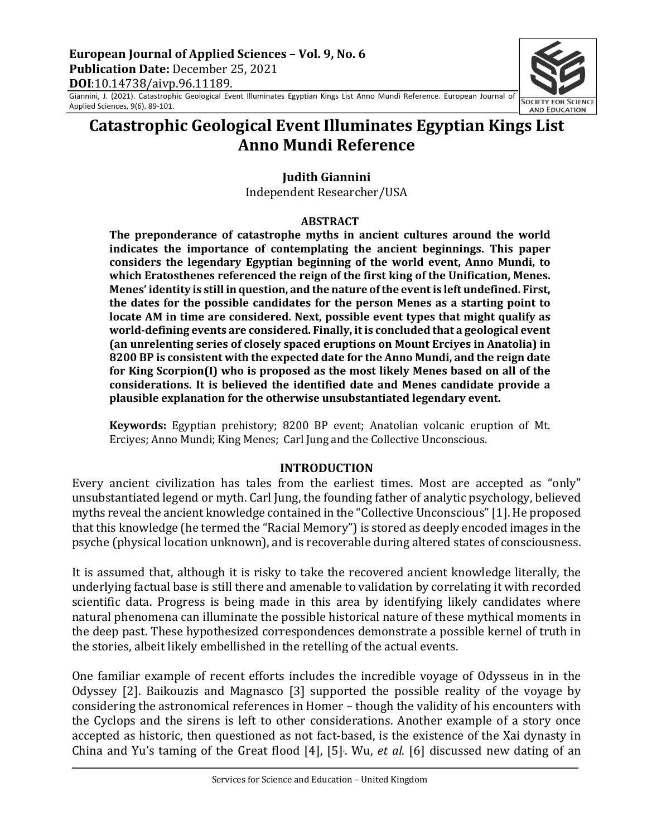

# **Catastrophic Geological Event Illuminates Egyptian Kings List Anno Mundi Reference**

**Iudith Giannini** 

Independent Researcher/USA

#### **ABSTRACT**

The preponderance of catastrophe myths in ancient cultures around the world **indicates the importance of contemplating the ancient beginnings. This paper** considers the legendary Egyptian beginning of the world event, Anno Mundi, to which Eratosthenes referenced the reign of the first king of the Unification, Menes. Menes' identity is still in question, and the nature of the event is left undefined. First, the dates for the possible candidates for the person Menes as a starting point to **locate AM** in time are considered. Next, possible event types that might qualify as world-defining events are considered. Finally, it is concluded that a geological event **(an unrelenting series of closely spaced eruptions on Mount Ercives in Anatolia) in 8200 BP** is consistent with the expected date for the Anno Mundi, and the reign date for King Scorpion(I) who is proposed as the most likely Menes based on all of the considerations. It is believed the identified date and Menes candidate provide a plausible explanation for the otherwise unsubstantiated legendary event.

**Keywords:** Egyptian prehistory; 8200 BP event; Anatolian volcanic eruption of Mt. Erciyes; Anno Mundi; King Menes; Carl Jung and the Collective Unconscious.

#### **INTRODUCTION**

Every ancient civilization has tales from the earliest times. Most are accepted as "only" unsubstantiated legend or myth. Carl Jung, the founding father of analytic psychology, believed myths reveal the ancient knowledge contained in the "Collective Unconscious" [1]. He proposed that this knowledge (he termed the "Racial Memory") is stored as deeply encoded images in the psyche (physical location unknown), and is recoverable during altered states of consciousness.

It is assumed that, although it is risky to take the recovered ancient knowledge literally, the underlying factual base is still there and amenable to validation by correlating it with recorded scientific data. Progress is being made in this area by identifying likely candidates where natural phenomena can illuminate the possible historical nature of these mythical moments in the deep past. These hypothesized correspondences demonstrate a possible kernel of truth in the stories, albeit likely embellished in the retelling of the actual events.

One familiar example of recent efforts includes the incredible voyage of Odysseus in in the Odyssey [2]. Baikouzis and Magnasco [3] supported the possible reality of the voyage by considering the astronomical references in Homer - though the validity of his encounters with the Cyclops and the sirens is left to other considerations. Another example of a story once accepted as historic, then questioned as not fact-based, is the existence of the Xai dynasty in China and Yu's taming of the Great flood  $[4]$ ,  $[5]$ . Wu, *et al.*  $[6]$  discussed new dating of an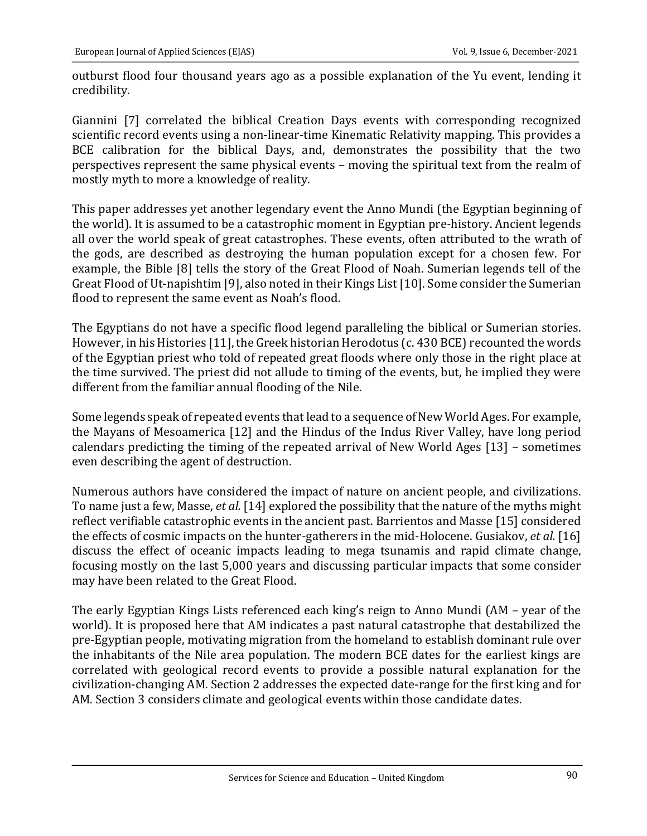outburst flood four thousand years ago as a possible explanation of the Yu event, lending it credibility. 

Giannini [7] correlated the biblical Creation Days events with corresponding recognized scientific record events using a non-linear-time Kinematic Relativity mapping. This provides a BCE calibration for the biblical Days, and, demonstrates the possibility that the two perspectives represent the same physical events – moving the spiritual text from the realm of mostly myth to more a knowledge of reality.

This paper addresses yet another legendary event the Anno Mundi (the Egyptian beginning of the world). It is assumed to be a catastrophic moment in Egyptian pre-history. Ancient legends all over the world speak of great catastrophes. These events, often attributed to the wrath of the gods, are described as destroying the human population except for a chosen few. For example, the Bible [8] tells the story of the Great Flood of Noah. Sumerian legends tell of the Great Flood of Ut-napishtim [9], also noted in their Kings List [10]. Some consider the Sumerian flood to represent the same event as Noah's flood.

The Egyptians do not have a specific flood legend paralleling the biblical or Sumerian stories. However, in his Histories [11], the Greek historian Herodotus (c. 430 BCE) recounted the words of the Egyptian priest who told of repeated great floods where only those in the right place at the time survived. The priest did not allude to timing of the events, but, he implied they were different from the familiar annual flooding of the Nile.

Some legends speak of repeated events that lead to a sequence of New World Ages. For example, the Mayans of Mesoamerica [12] and the Hindus of the Indus River Valley, have long period calendars predicting the timing of the repeated arrival of New World Ages  $[13]$  – sometimes even describing the agent of destruction.

Numerous authors have considered the impact of nature on ancient people, and civilizations. To name just a few, Masse, *et al.* [14] explored the possibility that the nature of the myths might reflect verifiable catastrophic events in the ancient past. Barrientos and Masse [15] considered the effects of cosmic impacts on the hunter-gatherers in the mid-Holocene. Gusiakov, *et al.* [16] discuss the effect of oceanic impacts leading to mega tsunamis and rapid climate change, focusing mostly on the last 5,000 years and discussing particular impacts that some consider may have been related to the Great Flood.

The early Egyptian Kings Lists referenced each king's reign to Anno Mundi (AM - year of the world). It is proposed here that AM indicates a past natural catastrophe that destabilized the pre-Egyptian people, motivating migration from the homeland to establish dominant rule over the inhabitants of the Nile area population. The modern BCE dates for the earliest kings are correlated with geological record events to provide a possible natural explanation for the civilization-changing AM. Section 2 addresses the expected date-range for the first king and for AM. Section 3 considers climate and geological events within those candidate dates.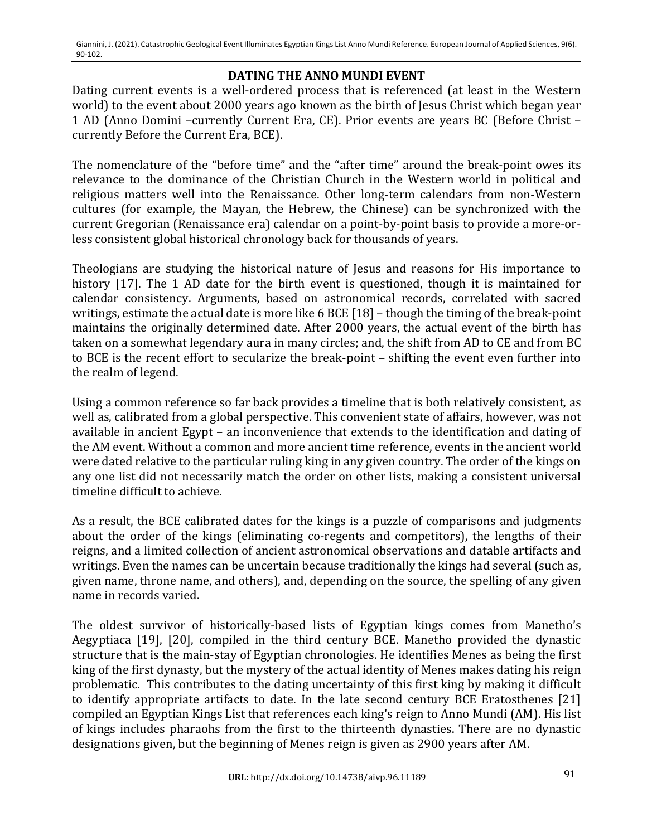## **DATING THE ANNO MUNDI EVENT**

Dating current events is a well-ordered process that is referenced (at least in the Western world) to the event about 2000 years ago known as the birth of Jesus Christ which began year 1 AD (Anno Domini -currently Current Era, CE). Prior events are years BC (Before Christ currently Before the Current Era, BCE).

The nomenclature of the "before time" and the "after time" around the break-point owes its relevance to the dominance of the Christian Church in the Western world in political and religious matters well into the Renaissance. Other long-term calendars from non-Western cultures (for example, the Mayan, the Hebrew, the Chinese) can be synchronized with the current Gregorian (Renaissance era) calendar on a point-by-point basis to provide a more-orless consistent global historical chronology back for thousands of years.

Theologians are studying the historical nature of Jesus and reasons for His importance to history [17]. The 1 AD date for the birth event is questioned, though it is maintained for calendar consistency. Arguments, based on astronomical records, correlated with sacred writings, estimate the actual date is more like 6 BCE [18] - though the timing of the break-point maintains the originally determined date. After 2000 years, the actual event of the birth has taken on a somewhat legendary aura in many circles; and, the shift from AD to CE and from BC to BCE is the recent effort to secularize the break-point – shifting the event even further into the realm of legend.

Using a common reference so far back provides a timeline that is both relatively consistent, as well as, calibrated from a global perspective. This convenient state of affairs, however, was not available in ancient Egypt – an inconvenience that extends to the identification and dating of the AM event. Without a common and more ancient time reference, events in the ancient world were dated relative to the particular ruling king in any given country. The order of the kings on any one list did not necessarily match the order on other lists, making a consistent universal timeline difficult to achieve.

As a result, the BCE calibrated dates for the kings is a puzzle of comparisons and judgments about the order of the kings (eliminating co-regents and competitors), the lengths of their reigns, and a limited collection of ancient astronomical observations and datable artifacts and writings. Even the names can be uncertain because traditionally the kings had several (such as, given name, throne name, and others), and, depending on the source, the spelling of any given name in records varied.

The oldest survivor of historically-based lists of Egyptian kings comes from Manetho's Aegyptiaca [19], [20], compiled in the third century  $\overrightarrow{BCE}$ . Manetho provided the dynastic structure that is the main-stay of Egyptian chronologies. He identifies Menes as being the first king of the first dynasty, but the mystery of the actual identity of Menes makes dating his reign problematic. This contributes to the dating uncertainty of this first king by making it difficult to identify appropriate artifacts to date. In the late second century BCE Eratosthenes [21] compiled an Egyptian Kings List that references each king's reign to Anno Mundi (AM). His list of kings includes pharaohs from the first to the thirteenth dynasties. There are no dynastic designations given, but the beginning of Menes reign is given as 2900 years after AM.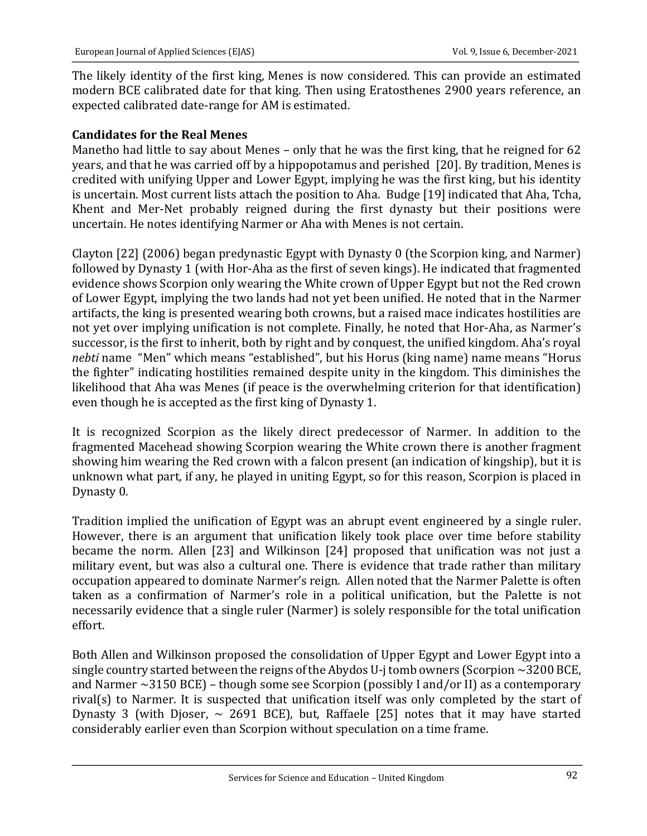The likely identity of the first king, Menes is now considered. This can provide an estimated modern BCE calibrated date for that king. Then using Eratosthenes 2900 years reference, an expected calibrated date-range for AM is estimated.

#### **Candidates for the Real Menes**

Manetho had little to say about Menes – only that he was the first king, that he reigned for 62 years, and that he was carried off by a hippopotamus and perished [20]. By tradition, Menes is credited with unifying Upper and Lower Egypt, implying he was the first king, but his identity is uncertain. Most current lists attach the position to Aha. Budge [19] indicated that Aha, Tcha, Khent and Mer-Net probably reigned during the first dynasty but their positions were uncertain. He notes identifying Narmer or Aha with Menes is not certain.

Clayton  $[22]$  (2006) began predynastic Egypt with Dynasty 0 (the Scorpion king, and Narmer) followed by Dynasty 1 (with Hor-Aha as the first of seven kings). He indicated that fragmented evidence shows Scorpion only wearing the White crown of Upper Egypt but not the Red crown of Lower Egypt, implying the two lands had not yet been unified. He noted that in the Narmer artifacts, the king is presented wearing both crowns, but a raised mace indicates hostilities are not yet over implying unification is not complete. Finally, he noted that Hor-Aha, as Narmer's successor, is the first to inherit, both by right and by conquest, the unified kingdom. Aha's royal *nebti* name "Men" which means "established", but his Horus (king name) name means "Horus the fighter" indicating hostilities remained despite unity in the kingdom. This diminishes the likelihood that Aha was Menes (if peace is the overwhelming criterion for that identification) even though he is accepted as the first king of Dynasty 1.

It is recognized Scorpion as the likely direct predecessor of Narmer. In addition to the fragmented Macehead showing Scorpion wearing the White crown there is another fragment showing him wearing the Red crown with a falcon present (an indication of kingship), but it is unknown what part, if any, he played in uniting Egypt, so for this reason, Scorpion is placed in Dynasty 0.

Tradition implied the unification of Egypt was an abrupt event engineered by a single ruler. However, there is an argument that unification likely took place over time before stability became the norm. Allen [23] and Wilkinson [24] proposed that unification was not just a military event, but was also a cultural one. There is evidence that trade rather than military occupation appeared to dominate Narmer's reign. Allen noted that the Narmer Palette is often taken as a confirmation of Narmer's role in a political unification, but the Palette is not necessarily evidence that a single ruler (Narmer) is solely responsible for the total unification effort. 

Both Allen and Wilkinson proposed the consolidation of Upper Egypt and Lower Egypt into a single country started between the reigns of the Abydos U-j tomb owners (Scorpion  $\sim$  3200 BCE, and Narmer  $\sim$ 3150 BCE) – though some see Scorpion (possibly I and/or II) as a contemporary rival(s) to Narmer. It is suspected that unification itself was only completed by the start of Dynasty 3 (with Djoser,  $\sim$  2691 BCE), but, Raffaele [25] notes that it may have started considerably earlier even than Scorpion without speculation on a time frame.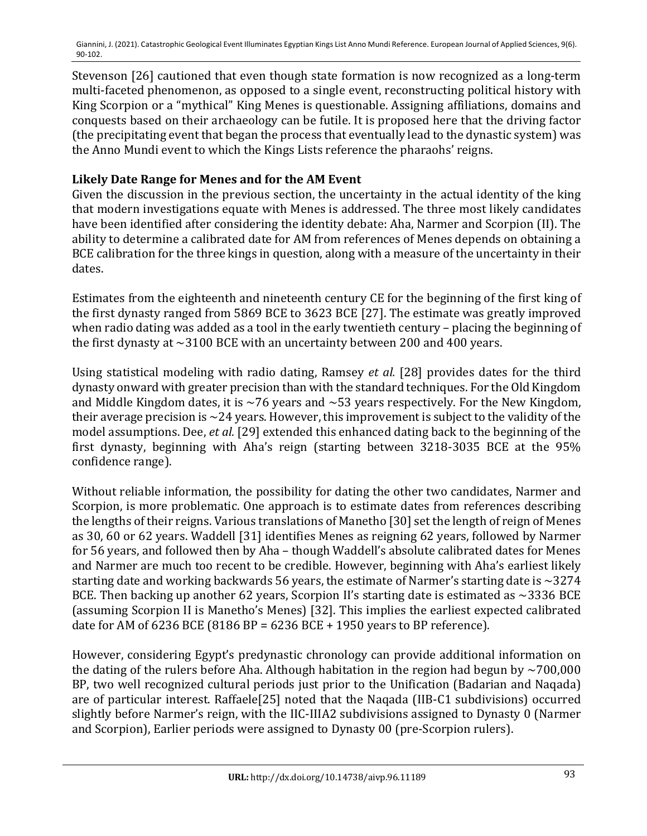Stevenson [26] cautioned that even though state formation is now recognized as a long-term multi-faceted phenomenon, as opposed to a single event, reconstructing political history with King Scorpion or a "mythical" King Menes is questionable. Assigning affiliations, domains and conquests based on their archaeology can be futile. It is proposed here that the driving factor (the precipitating event that began the process that eventually lead to the dynastic system) was the Anno Mundi event to which the Kings Lists reference the pharaohs' reigns.

## Likely Date Range for Menes and for the AM Event

Given the discussion in the previous section, the uncertainty in the actual identity of the king that modern investigations equate with Menes is addressed. The three most likely candidates have been identified after considering the identity debate: Aha, Narmer and Scorpion (II). The ability to determine a calibrated date for AM from references of Menes depends on obtaining a BCE calibration for the three kings in question, along with a measure of the uncertainty in their dates.

Estimates from the eighteenth and nineteenth century CE for the beginning of the first king of the first dynasty ranged from 5869 BCE to 3623 BCE [27]. The estimate was greatly improved when radio dating was added as a tool in the early twentieth century - placing the beginning of the first dynasty at  $\sim$ 3100 BCE with an uncertainty between 200 and 400 years.

Using statistical modeling with radio dating, Ramsey et al. [28] provides dates for the third dynasty onward with greater precision than with the standard techniques. For the Old Kingdom and Middle Kingdom dates, it is  $\sim$ 76 years and  $\sim$ 53 years respectively. For the New Kingdom, their average precision is  $\sim$  24 years. However, this improvement is subject to the validity of the model assumptions. Dee, *et al.* [29] extended this enhanced dating back to the beginning of the first dynasty, beginning with Aha's reign (starting between 3218-3035 BCE at the 95% confidence range).

Without reliable information, the possibility for dating the other two candidates, Narmer and Scorpion, is more problematic. One approach is to estimate dates from references describing the lengths of their reigns. Various translations of Manetho [30] set the length of reign of Menes as 30, 60 or 62 years. Waddell [31] identifies Menes as reigning 62 years, followed by Narmer for 56 years, and followed then by Aha - though Waddell's absolute calibrated dates for Menes and Narmer are much too recent to be credible. However, beginning with Aha's earliest likely starting date and working backwards 56 years, the estimate of Narmer's starting date is  $\sim$ 3274 BCE. Then backing up another 62 years, Scorpion II's starting date is estimated as  $\sim$ 3336 BCE (assuming Scorpion II is Manetho's Menes) [32]. This implies the earliest expected calibrated date for AM of  $6236$  BCE  $(8186$  BP =  $6236$  BCE + 1950 years to BP reference).

However, considering Egypt's predynastic chronology can provide additional information on the dating of the rulers before Aha. Although habitation in the region had begun by  $\sim$ 700,000 BP, two well recognized cultural periods just prior to the Unification (Badarian and Naqada) are of particular interest. Raffaele[25] noted that the Naqada (IIB-C1 subdivisions) occurred slightly before Narmer's reign, with the IIC-IIIA2 subdivisions assigned to Dynasty 0 (Narmer and Scorpion), Earlier periods were assigned to Dynasty 00 (pre-Scorpion rulers).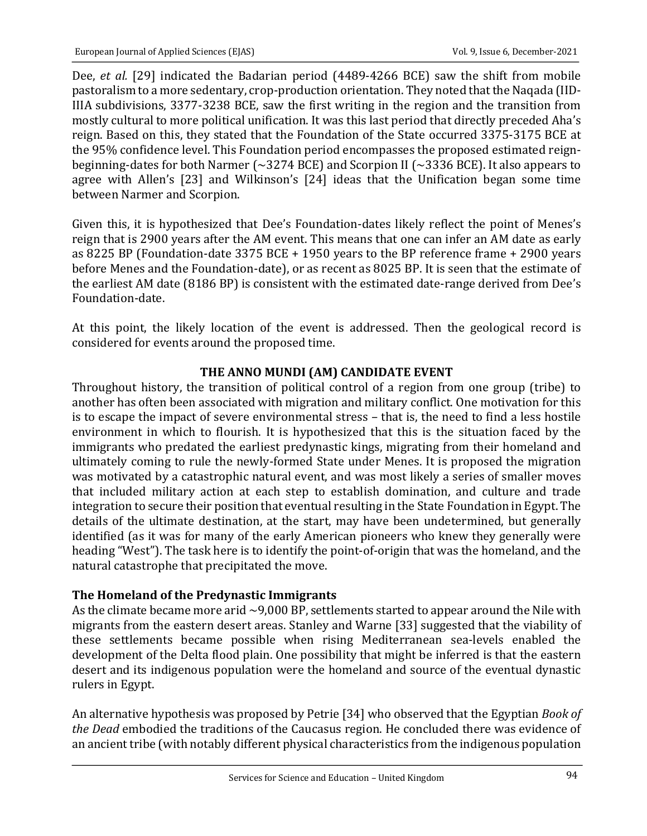Dee, *et al.* [29] indicated the Badarian period (4489-4266 BCE) saw the shift from mobile pastoralism to a more sedentary, crop-production orientation. They noted that the Naqada (IID-IIIA subdivisions, 3377-3238 BCE, saw the first writing in the region and the transition from mostly cultural to more political unification. It was this last period that directly preceded Aha's reign. Based on this, they stated that the Foundation of the State occurred 3375-3175 BCE at the 95% confidence level. This Foundation period encompasses the proposed estimated reignbeginning-dates for both Narmer ( $\sim$ 3274 BCE) and Scorpion II ( $\sim$ 3336 BCE). It also appears to agree with Allen's [23] and Wilkinson's [24] ideas that the Unification began some time between Narmer and Scorpion.

Given this, it is hypothesized that Dee's Foundation-dates likely reflect the point of Menes's reign that is 2900 years after the AM event. This means that one can infer an AM date as early as 8225 BP (Foundation-date  $3375$  BCE + 1950 years to the BP reference frame + 2900 years before Menes and the Foundation-date), or as recent as 8025 BP. It is seen that the estimate of the earliest AM date (8186 BP) is consistent with the estimated date-range derived from Dee's Foundation-date. 

At this point, the likely location of the event is addressed. Then the geological record is considered for events around the proposed time.

## **THE ANNO MUNDI (AM) CANDIDATE EVENT**

Throughout history, the transition of political control of a region from one group (tribe) to another has often been associated with migration and military conflict. One motivation for this is to escape the impact of severe environmental stress - that is, the need to find a less hostile environment in which to flourish. It is hypothesized that this is the situation faced by the immigrants who predated the earliest predynastic kings, migrating from their homeland and ultimately coming to rule the newly-formed State under Menes. It is proposed the migration was motivated by a catastrophic natural event, and was most likely a series of smaller moves that included military action at each step to establish domination, and culture and trade integration to secure their position that eventual resulting in the State Foundation in Egypt. The details of the ultimate destination, at the start, may have been undetermined, but generally identified (as it was for many of the early American pioneers who knew they generally were heading "West"). The task here is to identify the point-of-origin that was the homeland, and the natural catastrophe that precipitated the move.

# The Homeland of the Predynastic Immigrants

As the climate became more arid  $\sim$ 9,000 BP, settlements started to appear around the Nile with migrants from the eastern desert areas. Stanley and Warne [33] suggested that the viability of these settlements became possible when rising Mediterranean sea-levels enabled the development of the Delta flood plain. One possibility that might be inferred is that the eastern desert and its indigenous population were the homeland and source of the eventual dynastic rulers in Egypt.

An alternative hypothesis was proposed by Petrie [34] who observed that the Egyptian *Book of* the Dead embodied the traditions of the Caucasus region. He concluded there was evidence of an ancient tribe (with notably different physical characteristics from the indigenous population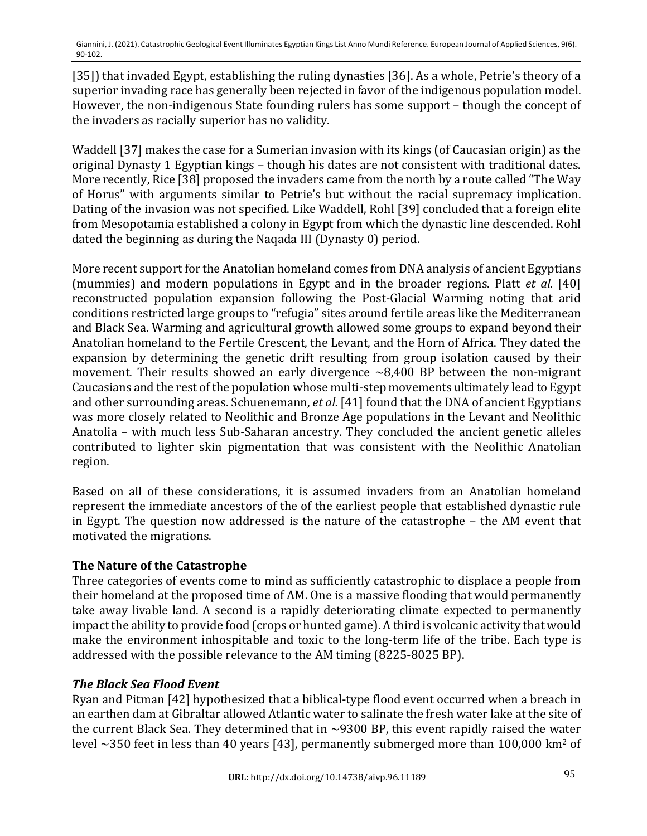[35]) that invaded Egypt, establishing the ruling dynasties [36]. As a whole, Petrie's theory of a superior invading race has generally been rejected in favor of the indigenous population model. However, the non-indigenous State founding rulers has some support – though the concept of the invaders as racially superior has no validity.

Waddell [37] makes the case for a Sumerian invasion with its kings (of Caucasian origin) as the original Dynasty 1 Egyptian kings - though his dates are not consistent with traditional dates. More recently, Rice [38] proposed the invaders came from the north by a route called "The Way of Horus" with arguments similar to Petrie's but without the racial supremacy implication. Dating of the invasion was not specified. Like Waddell, Rohl [39] concluded that a foreign elite from Mesopotamia established a colony in Egypt from which the dynastic line descended. Rohl dated the beginning as during the Naqada III (Dynasty 0) period.

More recent support for the Anatolian homeland comes from DNA analysis of ancient Egyptians (mummies) and modern populations in Egypt and in the broader regions. Platt *et al.* [40] reconstructed population expansion following the Post-Glacial Warming noting that arid conditions restricted large groups to "refugia" sites around fertile areas like the Mediterranean and Black Sea. Warming and agricultural growth allowed some groups to expand beyond their Anatolian homeland to the Fertile Crescent, the Levant, and the Horn of Africa. They dated the expansion by determining the genetic drift resulting from group isolation caused by their movement. Their results showed an early divergence  $\sim 8,400$  BP between the non-migrant Caucasians and the rest of the population whose multi-step movements ultimately lead to Egypt and other surrounding areas. Schuenemann, *et al.* [41] found that the DNA of ancient Egyptians was more closely related to Neolithic and Bronze Age populations in the Levant and Neolithic Anatolia – with much less Sub-Saharan ancestry. They concluded the ancient genetic alleles contributed to lighter skin pigmentation that was consistent with the Neolithic Anatolian region. 

Based on all of these considerations, it is assumed invaders from an Anatolian homeland represent the immediate ancestors of the of the earliest people that established dynastic rule in Egypt. The question now addressed is the nature of the catastrophe  $-$  the AM event that motivated the migrations.

# **The Nature of the Catastrophe**

Three categories of events come to mind as sufficiently catastrophic to displace a people from their homeland at the proposed time of AM. One is a massive flooding that would permanently take away livable land. A second is a rapidly deteriorating climate expected to permanently impact the ability to provide food (crops or hunted game). A third is volcanic activity that would make the environment inhospitable and toxic to the long-term life of the tribe. Each type is addressed with the possible relevance to the AM timing  $(8225-8025$  BP).

#### **The Black Sea Flood Event**

Ryan and Pitman [42] hypothesized that a biblical-type flood event occurred when a breach in an earthen dam at Gibraltar allowed Atlantic water to salinate the fresh water lake at the site of the current Black Sea. They determined that in  $\sim$ 9300 BP, this event rapidly raised the water level  $\sim$ 350 feet in less than 40 years [43], permanently submerged more than 100,000 km<sup>2</sup> of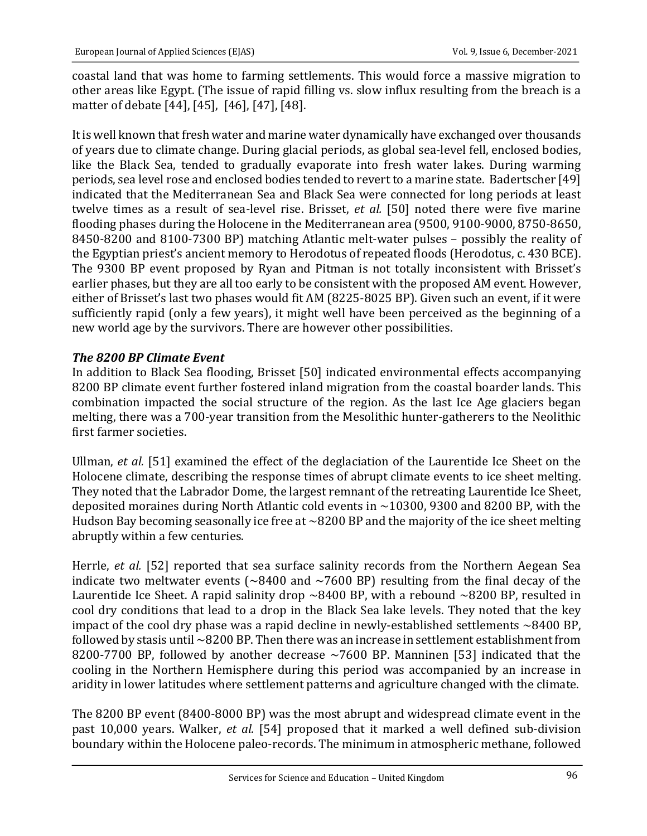coastal land that was home to farming settlements. This would force a massive migration to other areas like Egypt. (The issue of rapid filling vs. slow influx resulting from the breach is a matter of debate [44], [45], [46], [47], [48].

It is well known that fresh water and marine water dynamically have exchanged over thousands of years due to climate change. During glacial periods, as global sea-level fell, enclosed bodies, like the Black Sea, tended to gradually evaporate into fresh water lakes. During warming periods, sea level rose and enclosed bodies tended to revert to a marine state. Badertscher [49] indicated that the Mediterranean Sea and Black Sea were connected for long periods at least twelve times as a result of sea-level rise. Brisset, *et al.* [50] noted there were five marine flooding phases during the Holocene in the Mediterranean area (9500, 9100-9000, 8750-8650, 8450-8200 and 8100-7300 BP) matching Atlantic melt-water pulses – possibly the reality of the Egyptian priest's ancient memory to Herodotus of repeated floods (Herodotus, c. 430 BCE). The 9300 BP event proposed by Ryan and Pitman is not totally inconsistent with Brisset's earlier phases, but they are all too early to be consistent with the proposed AM event. However, either of Brisset's last two phases would fit AM (8225-8025 BP). Given such an event, if it were sufficiently rapid (only a few years), it might well have been perceived as the beginning of a new world age by the survivors. There are however other possibilities.

## *The 8200 BP Climate Event*

In addition to Black Sea flooding, Brisset [50] indicated environmental effects accompanying 8200 BP climate event further fostered inland migration from the coastal boarder lands. This combination impacted the social structure of the region. As the last Ice Age glaciers began melting, there was a 700-year transition from the Mesolithic hunter-gatherers to the Neolithic first farmer societies.

Ullman, *et al.* [51] examined the effect of the deglaciation of the Laurentide Ice Sheet on the Holocene climate, describing the response times of abrupt climate events to ice sheet melting. They noted that the Labrador Dome, the largest remnant of the retreating Laurentide Ice Sheet, deposited moraines during North Atlantic cold events in  $\sim$ 10300, 9300 and 8200 BP, with the Hudson Bay becoming seasonally ice free at  $\sim$ 8200 BP and the majority of the ice sheet melting abruptly within a few centuries.

Herrle, et al. [52] reported that sea surface salinity records from the Northern Aegean Sea indicate two meltwater events  $\sim 8400$  and  $\sim 7600$  BP) resulting from the final decay of the Laurentide Ice Sheet. A rapid salinity drop  $\sim$ 8400 BP, with a rebound  $\sim$ 8200 BP, resulted in cool dry conditions that lead to a drop in the Black Sea lake levels. They noted that the key impact of the cool dry phase was a rapid decline in newly-established settlements  $\sim$ 8400 BP, followed by stasis until  $\sim$ 8200 BP. Then there was an increase in settlement establishment from 8200-7700 BP, followed by another decrease  $\sim$ 7600 BP. Manninen [53] indicated that the cooling in the Northern Hemisphere during this period was accompanied by an increase in aridity in lower latitudes where settlement patterns and agriculture changed with the climate.

The 8200 BP event (8400-8000 BP) was the most abrupt and widespread climate event in the past 10,000 years. Walker, et al. [54] proposed that it marked a well defined sub-division boundary within the Holocene paleo-records. The minimum in atmospheric methane, followed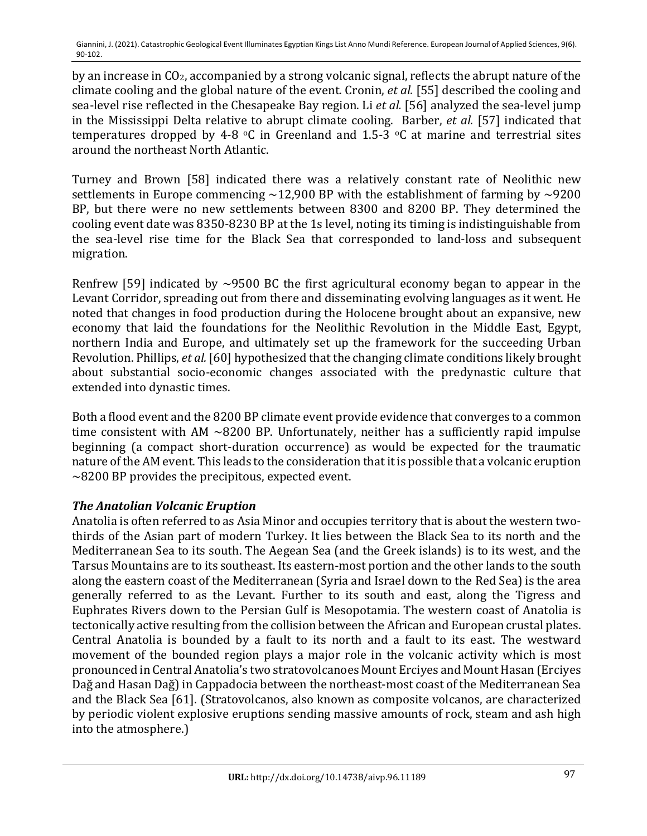by an increase in  $CO<sub>2</sub>$ , accompanied by a strong volcanic signal, reflects the abrupt nature of the climate cooling and the global nature of the event. Cronin, *et al.* [55] described the cooling and sea-level rise reflected in the Chesapeake Bay region. Li et al. [56] analyzed the sea-level jump in the Mississippi Delta relative to abrupt climate cooling. Barber, *et al.* [57] indicated that temperatures dropped by 4-8  $\degree$ C in Greenland and 1.5-3  $\degree$ C at marine and terrestrial sites around the northeast North Atlantic.

Turney and Brown [58] indicated there was a relatively constant rate of Neolithic new settlements in Europe commencing  $\sim$ 12,900 BP with the establishment of farming by  $\sim$ 9200 BP, but there were no new settlements between 8300 and 8200 BP. They determined the cooling event date was 8350-8230 BP at the 1s level, noting its timing is indistinguishable from the sea-level rise time for the Black Sea that corresponded to land-loss and subsequent migration. 

Renfrew [59] indicated by  $\sim$ 9500 BC the first agricultural economy began to appear in the Levant Corridor, spreading out from there and disseminating evolving languages as it went. He noted that changes in food production during the Holocene brought about an expansive, new economy that laid the foundations for the Neolithic Revolution in the Middle East, Egypt, northern India and Europe, and ultimately set up the framework for the succeeding Urban Revolution. Phillips, *et al.* [60] hypothesized that the changing climate conditions likely brought about substantial socio-economic changes associated with the predynastic culture that extended into dynastic times.

Both a flood event and the 8200 BP climate event provide evidence that converges to a common time consistent with AM  $\sim$ 8200 BP. Unfortunately, neither has a sufficiently rapid impulse beginning (a compact short-duration occurrence) as would be expected for the traumatic nature of the AM event. This leads to the consideration that it is possible that a volcanic eruption  $\sim$ 8200 BP provides the precipitous, expected event.

# **The Anatolian Volcanic Eruption**

Anatolia is often referred to as Asia Minor and occupies territory that is about the western twothirds of the Asian part of modern Turkey. It lies between the Black Sea to its north and the Mediterranean Sea to its south. The Aegean Sea (and the Greek islands) is to its west, and the Tarsus Mountains are to its southeast. Its eastern-most portion and the other lands to the south along the eastern coast of the Mediterranean (Syria and Israel down to the Red Sea) is the area generally referred to as the Levant. Further to its south and east, along the Tigress and Euphrates Rivers down to the Persian Gulf is Mesopotamia. The western coast of Anatolia is tectonically active resulting from the collision between the African and European crustal plates. Central Anatolia is bounded by a fault to its north and a fault to its east. The westward movement of the bounded region plays a major role in the volcanic activity which is most pronounced in Central Anatolia's two stratovolcanoes Mount Erciyes and Mount Hasan (Erciyes Dağ and Hasan Dağ) in Cappadocia between the northeast-most coast of the Mediterranean Sea and the Black Sea  $[61]$ . (Stratovolcanos, also known as composite volcanos, are characterized by periodic violent explosive eruptions sending massive amounts of rock, steam and ash high into the atmosphere.)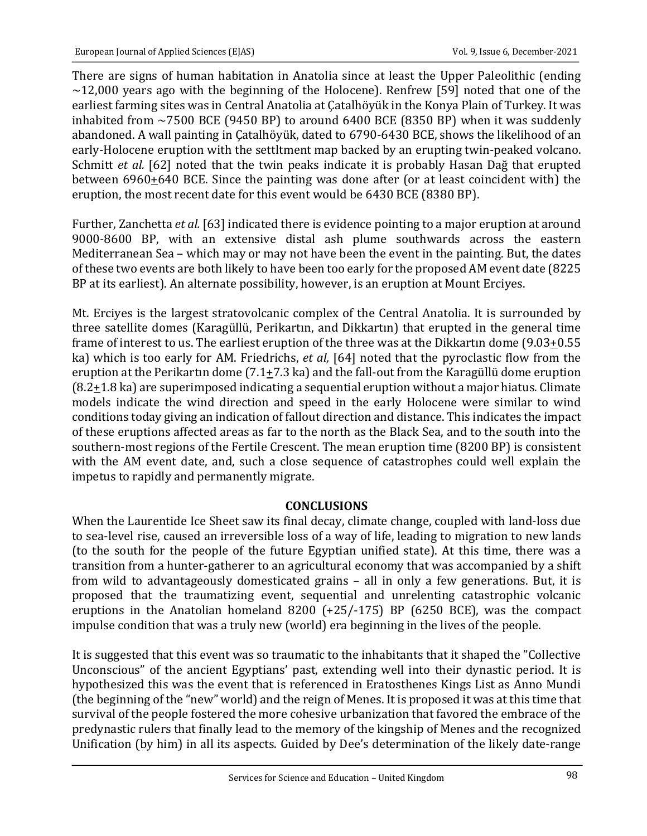There are signs of human habitation in Anatolia since at least the Upper Paleolithic (ending  $\sim$ 12,000 years ago with the beginning of the Holocene). Renfrew [59] noted that one of the earliest farming sites was in Central Anatolia at Catalhöyük in the Konya Plain of Turkey. It was inhabited from  $\sim$ 7500 BCE (9450 BP) to around 6400 BCE (8350 BP) when it was suddenly abandoned. A wall painting in Catalhöyük, dated to 6790-6430 BCE, shows the likelihood of an early-Holocene eruption with the settltment map backed by an erupting twin-peaked volcano. Schmitt *et al.* [62] noted that the twin peaks indicate it is probably Hasan Dağ that erupted between  $6960+640$  BCE. Since the painting was done after (or at least coincident with) the eruption, the most recent date for this event would be 6430 BCE (8380 BP).

Further, Zanchetta *et al.* [63] indicated there is evidence pointing to a major eruption at around 9000-8600 BP, with an extensive distal ash plume southwards across the eastern Mediterranean Sea - which may or may not have been the event in the painting. But, the dates of these two events are both likely to have been too early for the proposed AM event date (8225) BP at its earliest). An alternate possibility, however, is an eruption at Mount Erciyes.

Mt. Erciyes is the largest stratovolcanic complex of the Central Anatolia. It is surrounded by three satellite domes (Karagüllü, Perikartın, and Dikkartın) that erupted in the general time frame of interest to us. The earliest eruption of the three was at the Dikkartin dome  $(9.03+0.55)$ ka) which is too early for AM. Friedrichs, *et al*, [64] noted that the pyroclastic flow from the eruption at the Perikartin dome  $(7.1+7.3 \text{ ka})$  and the fall-out from the Karagüllü dome eruption  $(8.2+1.8 \text{ ka})$  are superimposed indicating a sequential eruption without a major hiatus. Climate models indicate the wind direction and speed in the early Holocene were similar to wind conditions today giving an indication of fallout direction and distance. This indicates the impact of these eruptions affected areas as far to the north as the Black Sea, and to the south into the southern-most regions of the Fertile Crescent. The mean eruption time (8200 BP) is consistent with the AM event date, and, such a close sequence of catastrophes could well explain the impetus to rapidly and permanently migrate.

# **CONCLUSIONS**

When the Laurentide Ice Sheet saw its final decay, climate change, coupled with land-loss due to sea-level rise, caused an irreversible loss of a way of life, leading to migration to new lands (to the south for the people of the future Egyptian unified state). At this time, there was a transition from a hunter-gatherer to an agricultural economy that was accompanied by a shift from wild to advantageously domesticated grains - all in only a few generations. But, it is proposed that the traumatizing event, sequential and unrelenting catastrophic volcanic eruptions in the Anatolian homeland  $8200$  (+25/-175) BP (6250 BCE), was the compact impulse condition that was a truly new (world) era beginning in the lives of the people.

It is suggested that this event was so traumatic to the inhabitants that it shaped the "Collective Unconscious" of the ancient Egyptians' past, extending well into their dynastic period. It is hypothesized this was the event that is referenced in Eratosthenes Kings List as Anno Mundi (the beginning of the "new" world) and the reign of Menes. It is proposed it was at this time that survival of the people fostered the more cohesive urbanization that favored the embrace of the predynastic rulers that finally lead to the memory of the kingship of Menes and the recognized Unification (by him) in all its aspects. Guided by Dee's determination of the likely date-range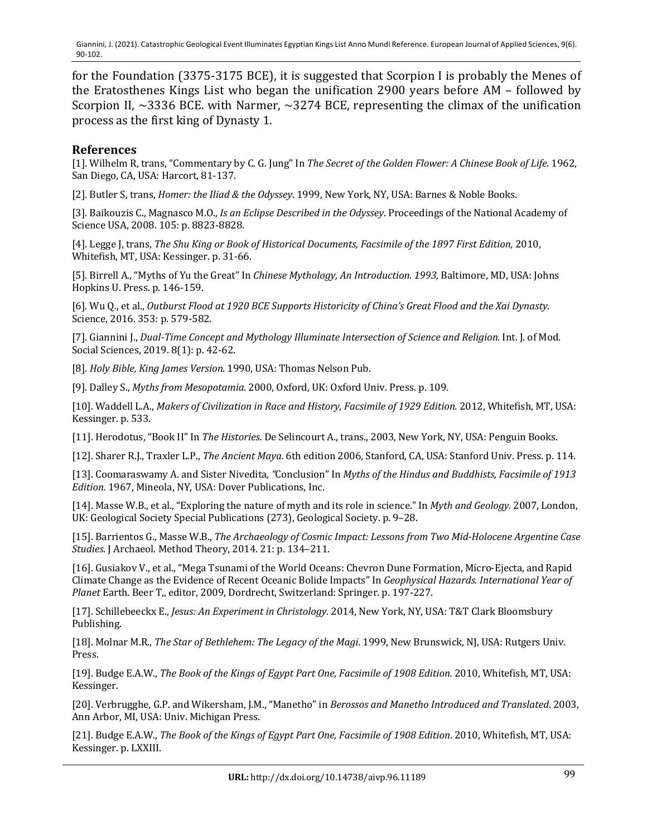for the Foundation  $(3375-3175 \text{ BCE})$ , it is suggested that Scorpion I is probably the Menes of the Eratosthenes Kings List who began the unification 2900 years before AM - followed by Scorpion II,  $\sim$ 3336 BCE. with Narmer,  $\sim$ 3274 BCE, representing the climax of the unification process as the first king of Dynasty 1.

#### **References**

[1]. Wilhelm R, trans, "Commentary by C. G. Jung" In *The Secret of the Golden Flower: A Chinese Book of Life*. 1962, San Diego, CA, USA: Harcort, 81-137.

[2]. Butler S, trans, *Homer: the Iliad & the Odyssey*. 1999, New York, NY, USA: Barnes & Noble Books.

[3]. Baikouzis C., Magnasco M.O., *Is an Eclipse Described in the Odyssey*. Proceedings of the National Academy of Science USA, 2008. 105: p. 8823-8828.

[4]. Legge J, trans, *The Shu King or Book of Historical Documents, Facsimile of the 1897 First Edition*, 2010, Whitefish, MT, USA: Kessinger. p. 31-66.

[5]. Birrell A., "Myths of Yu the Great" In *Chinese Mythology, An Introduction.* 1993, Baltimore, MD, USA: Johns Hopkins U. Press. p. 146-159.

[6]. Wu Q., et al., *Outburst Flood at 1920 BCE Supports Historicity of China's Great Flood and the Xai Dynasty.* Science, 2016. 353: p. 579-582.

[7]. Giannini J., *Dual-Time Concept and Mythology Illuminate Intersection of Science and Religion*. Int. J. of Mod. Social Sciences, 2019. 8(1): p. 42-62.

[8]. *Holy Bible, King James Version.* 1990, USA: Thomas Nelson Pub.

[9]. Dalley S., Myths from Mesopotamia. 2000, Oxford, UK: Oxford Univ. Press. p. 109.

[10]. Waddell L.A., *Makers of Civilization in Race and History, Facsimile of 1929 Edition.* 2012, Whitefish, MT, USA: Kessinger. p. 533.

[11]. Herodotus, "Book II" In *The Histories.* De Selincourt A., trans., 2003, New York, NY, USA: Penguin Books.

[12]. Sharer R.J., Traxler L.P., *The Ancient Maya.* 6th edition 2006, Stanford, CA, USA: Stanford Univ. Press. p. 114.

[13]. Coomaraswamy A. and Sister Nivedita, "Conclusion" In *Myths of the Hindus and Buddhists, Facsimile of 1913 Edition.* 1967, Mineola, NY, USA: Dover Publications, Inc.

[14]. Masse W.B., et al., "Exploring the nature of myth and its role in science." In *Myth and Geology.* 2007, London, UK: Geological Society Special Publications (273), Geological Society. p. 9-28.

[15]. Barrientos G., Masse W.B., *The Archaeology of Cosmic Impact: Lessons from Two Mid-Holocene Argentine Case Studies*. J Archaeol. Method Theory, 2014. 21: p. 134-211.

[16]. Gusiakov V., et al., "Mega Tsunami of the World Oceans: Chevron Dune Formation, Micro-Ejecta, and Rapid Climate Change as the Evidence of Recent Oceanic Bolide Impacts" In *Geophysical Hazards. International Year of* Planet Earth. Beer T,, editor, 2009, Dordrecht, Switzerland: Springer. p. 197-227.

[17]. Schillebeeckx E., *Jesus: An Experiment in Christology.* 2014, New York, NY, USA: T&T Clark Bloomsbury Publishing. 

[18]. Molnar M.R., *The Star of Bethlehem: The Legacy of the Magi*. 1999, New Brunswick, NJ, USA: Rutgers Univ. Press. 

[19]. Budge E.A.W., *The Book of the Kings of Egypt Part One, Facsimile of 1908 Edition.* 2010, Whitefish, MT, USA: Kessinger. 

[20]. Verbrugghe, G.P. and Wikersham, J.M., "Manetho" in *Berossos and Manetho Introduced and Translated*. 2003, Ann Arbor, MI, USA: Univ. Michigan Press.

[21]. Budge E.A.W., *The Book of the Kings of Egypt Part One, Facsimile of 1908 Edition*. 2010, Whitefish, MT, USA: Kessinger. p. LXXIII.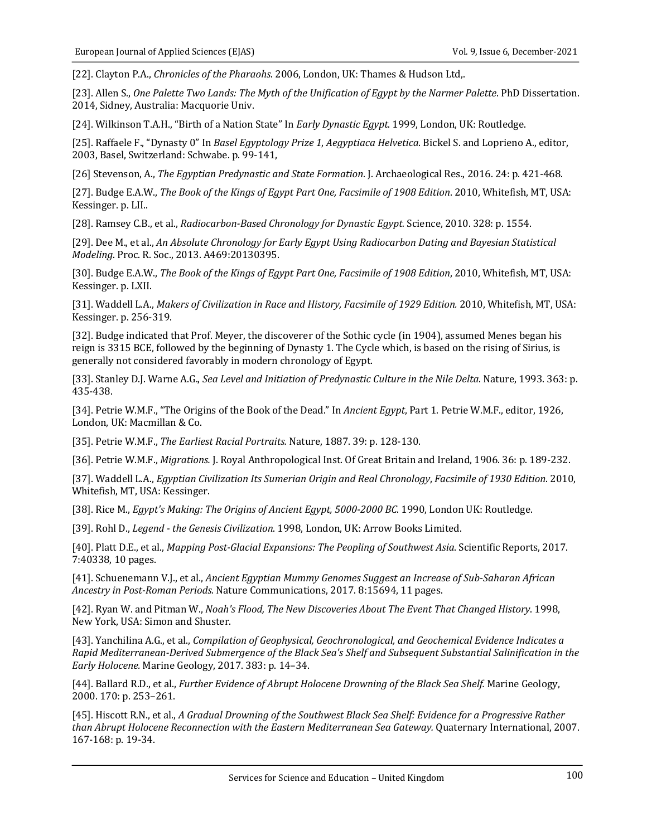[22]. Clayton P.A., *Chronicles of the Pharaohs*. 2006, London, UK: Thames & Hudson Ltd,.

[23]. Allen S., One Palette Two Lands: The Myth of the Unification of Egypt by the Narmer Palette. PhD Dissertation. 2014, Sidney, Australia: Macquorie Univ.

[24]. Wilkinson T.A.H., "Birth of a Nation State" In *Early Dynastic Egypt*. 1999, London, UK: Routledge.

[25]. Raffaele F., "Dynasty 0" In *Basel Egyptology Prize 1, Aegyptiaca Helvetica*. Bickel S. and Loprieno A., editor, 2003, Basel, Switzerland: Schwabe. p. 99-141,

[26] Stevenson, A., *The Egyptian Predynastic and State Formation*. J. Archaeological Res., 2016. 24: p. 421-468.

[27]. Budge E.A.W., *The Book of the Kings of Egypt Part One, Facsimile of 1908 Edition*. 2010, Whitefish, MT, USA: Kessinger. p. LII..

[28]. Ramsey C.B., et al., *Radiocarbon-Based Chronology for Dynastic Egypt.* Science, 2010. 328: p. 1554.

[29]. Dee M., et al., An Absolute Chronology for Early Egypt Using Radiocarbon Dating and Bayesian Statistical *Modeling*. Proc. R. Soc., 2013. A469:20130395.

[30]. Budge E.A.W., *The Book of the Kings of Egypt Part One, Facsimile of 1908 Edition*, 2010, Whitefish, MT, USA: Kessinger. p. LXII.

[31]. Waddell L.A., *Makers of Civilization in Race and History, Facsimile of 1929 Edition.* 2010, Whitefish, MT, USA: Kessinger. p. 256-319.

[32]. Budge indicated that Prof. Meyer, the discoverer of the Sothic cycle (in 1904), assumed Menes began his reign is 3315 BCE, followed by the beginning of Dynasty 1. The Cycle which, is based on the rising of Sirius, is generally not considered favorably in modern chronology of Egypt.

[33]. Stanley D.J. Warne A.G., *Sea Level and Initiation of Predynastic Culture in the Nile Delta*. Nature, 1993. 363: p. 435-438.

[34]. Petrie W.M.F., "The Origins of the Book of the Dead." In *Ancient Egypt*, Part 1. Petrie W.M.F., editor, 1926, London, UK: Macmillan & Co.

[35]. Petrie W.M.F., The Earliest Racial Portraits. Nature, 1887. 39: p. 128-130.

[36]. Petrie W.M.F., *Migrations.* J. Royal Anthropological Inst. Of Great Britain and Ireland, 1906. 36: p. 189-232.

[37]. Waddell L.A., *Egyptian Civilization Its Sumerian Origin and Real Chronology, Facsimile of 1930 Edition.* 2010, Whitefish, MT, USA: Kessinger.

[38]. Rice M., *Egypt's Making: The Origins of Ancient Egypt, 5000-2000 BC*. 1990, London UK: Routledge.

[39]. Rohl D., *Legend - the Genesis Civilization*. 1998, London, UK: Arrow Books Limited.

[40]. Platt D.E., et al., *Mapping Post-Glacial Expansions: The Peopling of Southwest Asia*. Scientific Reports, 2017. 7:40338, 10 pages.

[41]. Schuenemann V.J., et al., *Ancient Egyptian Mummy Genomes Suggest an Increase of Sub-Saharan African Ancestry in Post-Roman Periods.* Nature Communications, 2017. 8:15694, 11 pages.

[42]. Ryan W. and Pitman W., *Noah's Flood, The New Discoveries About The Event That Changed History*. 1998, New York, USA: Simon and Shuster.

[43]. Yanchilina A.G., et al., *Compilation of Geophysical, Geochronological, and Geochemical Evidence Indicates a Rapid Mediterranean-Derived Submergence of the Black Sea's Shelf and Subsequent Substantial Salinification in the Early Holocene.* Marine Geology, 2017. 383: p. 14–34.

[44]. Ballard R.D., et al., *Further Evidence of Abrupt Holocene Drowning of the Black Sea Shelf.* Marine Geology, 2000. 170: p. 253-261.

[45]. Hiscott R.N., et al., *A Gradual Drowning of the Southwest Black Sea Shelf: Evidence for a Progressive Rather than Abrupt Holocene Reconnection with the Eastern Mediterranean Sea Gateway.* Quaternary International, 2007. 167-168: p. 19-34.